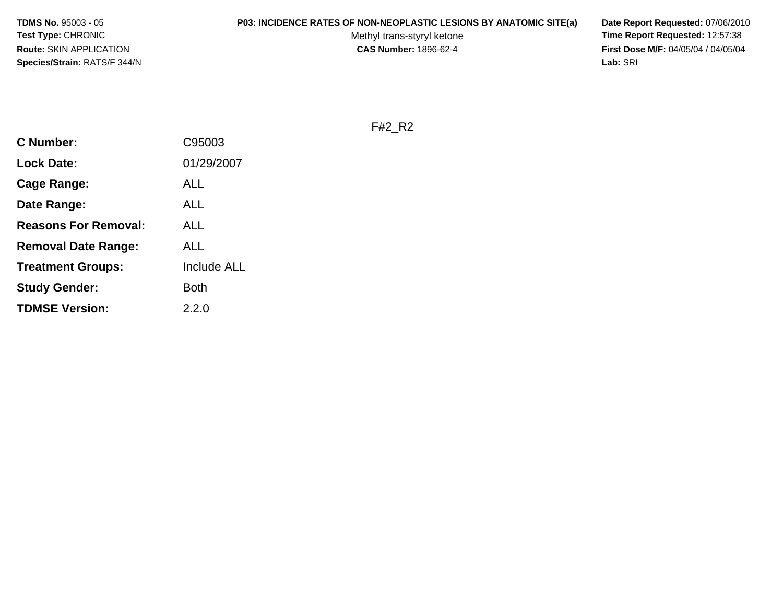**TDMS No.** 95003 - 05**Test Type:** CHRONIC**Route:** SKIN APPLICATION**Species/Strain:** RATS/F 344/N

#### **P03: INCIDENCE RATES OF NON-NEOPLASTIC LESIONS BY ANATOMIC SITE(a) Date Report Requested:** 07/06/2010

Methyl trans-styryl ketone<br>CAS Number: 1896-62-4

 **Time Report Requested:** 12:57:38 **First Dose M/F:** 04/05/04 / 04/05/04<br>Lab: SRI **Lab:** SRI

F#2\_R2

| <b>C</b> Number:            | C95003             |
|-----------------------------|--------------------|
| <b>Lock Date:</b>           | 01/29/2007         |
| Cage Range:                 | ALL                |
| Date Range:                 | ALL                |
| <b>Reasons For Removal:</b> | ALL                |
| <b>Removal Date Range:</b>  | ALL                |
| <b>Treatment Groups:</b>    | <b>Include ALL</b> |
| <b>Study Gender:</b>        | Both               |
| <b>TDMSE Version:</b>       | 2.2.0              |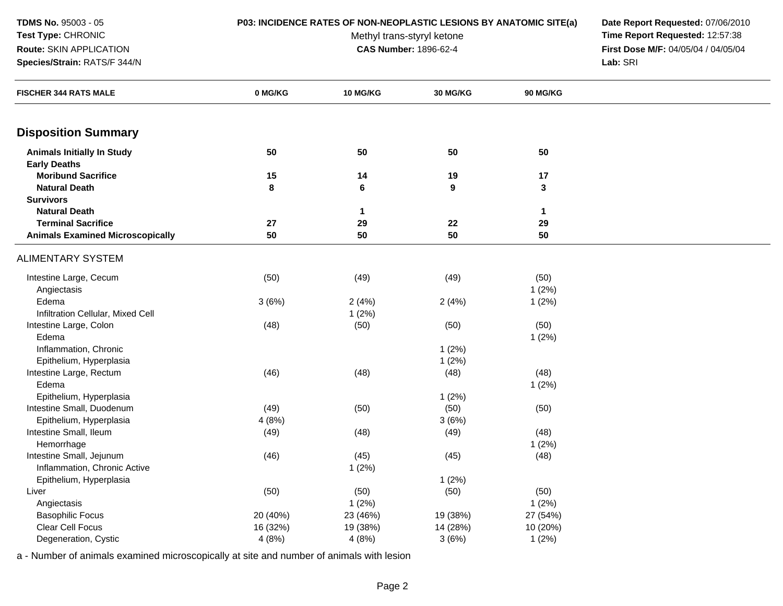#### **Test Type:** CHRONIC**Route:** SKIN APPLICATION

**Species/Strain:** RATS/F 344/N

**P03: INCIDENCE RATES OF NON-NEOPLASTIC LESIONS BY ANATOMIC SITE(a) Date Report Requested:** 07/06/2010

Methyl trans-styryl ketone<br>CAS Number: 1896-62-4

 **Time Report Requested:** 12:57:38 **First Dose M/F:** 04/05/04 / 04/05/04<br>Lab: SRI **Lab:** SRI

| <b>FISCHER 344 RATS MALE</b>                      | 0 MG/KG  | 10 MG/KG     | 30 MG/KG               | 90 MG/KG          |  |
|---------------------------------------------------|----------|--------------|------------------------|-------------------|--|
| <b>Disposition Summary</b>                        |          |              |                        |                   |  |
|                                                   |          |              |                        |                   |  |
| <b>Animals Initially In Study</b>                 | 50       | 50           | 50                     | 50                |  |
| <b>Early Deaths</b>                               |          |              |                        |                   |  |
| <b>Moribund Sacrifice</b><br><b>Natural Death</b> | 15<br>8  | 14           | 19<br>$\boldsymbol{9}$ | 17<br>$\mathbf 3$ |  |
| <b>Survivors</b>                                  |          | $\bf 6$      |                        |                   |  |
| <b>Natural Death</b>                              |          | $\mathbf{1}$ |                        | $\mathbf{1}$      |  |
| <b>Terminal Sacrifice</b>                         | 27       | 29           | 22                     | 29                |  |
| <b>Animals Examined Microscopically</b>           | 50       | 50           | 50                     | 50                |  |
| <b>ALIMENTARY SYSTEM</b>                          |          |              |                        |                   |  |
| Intestine Large, Cecum                            | (50)     | (49)         | (49)                   | (50)              |  |
| Angiectasis                                       |          |              |                        | $1(2\%)$          |  |
| Edema                                             | 3(6%)    | 2(4%)        | 2(4%)                  | 1(2%)             |  |
| Infiltration Cellular, Mixed Cell                 |          | 1(2%)        |                        |                   |  |
| Intestine Large, Colon                            | (48)     | (50)         | (50)                   | (50)              |  |
| Edema                                             |          |              |                        | 1(2%)             |  |
| Inflammation, Chronic                             |          |              | 1(2%)                  |                   |  |
| Epithelium, Hyperplasia                           |          |              | 1(2%)                  |                   |  |
| Intestine Large, Rectum                           | (46)     | (48)         | (48)                   | (48)              |  |
| Edema                                             |          |              |                        | 1(2%)             |  |
| Epithelium, Hyperplasia                           |          |              | 1(2%)                  |                   |  |
| Intestine Small, Duodenum                         | (49)     | (50)         | (50)                   | (50)              |  |
| Epithelium, Hyperplasia                           | 4(8%)    |              | 3(6%)                  |                   |  |
| Intestine Small, Ileum                            | (49)     | (48)         | (49)                   | (48)              |  |
| Hemorrhage                                        |          |              |                        | 1(2%)             |  |
| Intestine Small, Jejunum                          | (46)     | (45)         | (45)                   | (48)              |  |
| Inflammation, Chronic Active                      |          | 1(2%)        |                        |                   |  |
| Epithelium, Hyperplasia                           |          |              | 1(2%)                  |                   |  |
| Liver                                             | (50)     | (50)         | (50)                   | (50)              |  |
| Angiectasis                                       |          | 1(2%)        |                        | 1(2%)             |  |
| <b>Basophilic Focus</b>                           | 20 (40%) | 23 (46%)     | 19 (38%)               | 27 (54%)          |  |
| <b>Clear Cell Focus</b>                           | 16 (32%) | 19 (38%)     | 14 (28%)               | 10 (20%)          |  |
| Degeneration, Cystic                              | 4(8%)    | 4(8%)        | 3(6%)                  | 1(2%)             |  |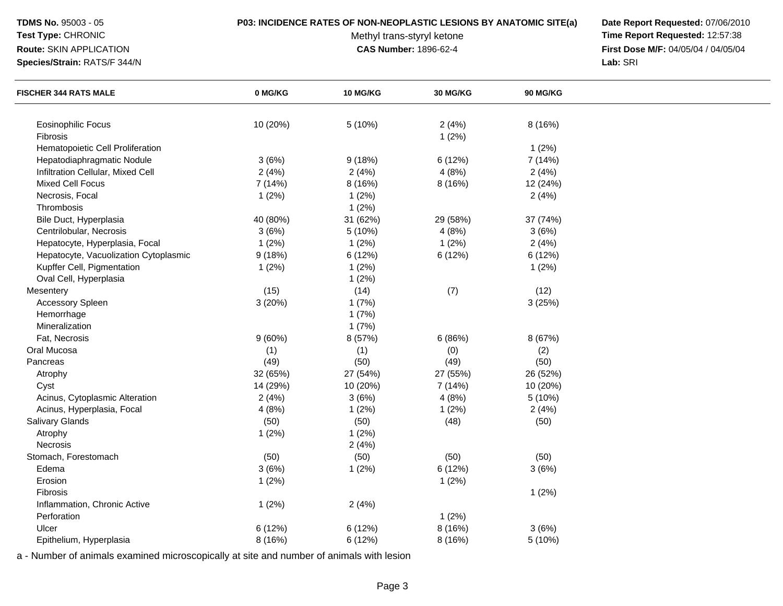#### **Test Type:** CHRONIC**Route:** SKIN APPLICATION

**Species/Strain:** RATS/F 344/N

## **P03: INCIDENCE RATES OF NON-NEOPLASTIC LESIONS BY ANATOMIC SITE(a) Date Report Requested:** 07/06/2010

Methyl trans-styryl ketone<br>CAS Number: 1896-62-4

 **Time Report Requested:** 12:57:38 **First Dose M/F:** 04/05/04 / 04/05/04<br>Lab: SRI **Lab:** SRI

| <b>FISCHER 344 RATS MALE</b>          | 0 MG/KG  | 10 MG/KG | <b>30 MG/KG</b> | <b>90 MG/KG</b> |  |
|---------------------------------------|----------|----------|-----------------|-----------------|--|
|                                       |          |          |                 |                 |  |
| <b>Eosinophilic Focus</b>             | 10 (20%) | 5 (10%)  | 2(4%)           | 8 (16%)         |  |
| Fibrosis                              |          |          | 1(2%)           |                 |  |
| Hematopoietic Cell Proliferation      |          |          |                 | 1(2%)           |  |
| Hepatodiaphragmatic Nodule            | 3(6%)    | 9(18%)   | 6 (12%)         | 7 (14%)         |  |
| Infiltration Cellular, Mixed Cell     | 2(4%)    | 2(4%)    | 4(8%)           | 2(4%)           |  |
| Mixed Cell Focus                      | 7 (14%)  | 8 (16%)  | 8 (16%)         | 12 (24%)        |  |
| Necrosis, Focal                       | 1(2%)    | 1(2%)    |                 | 2(4%)           |  |
| Thrombosis                            |          | 1(2%)    |                 |                 |  |
| Bile Duct, Hyperplasia                | 40 (80%) | 31 (62%) | 29 (58%)        | 37 (74%)        |  |
| Centrilobular, Necrosis               | 3(6%)    | 5(10%)   | 4(8%)           | 3(6%)           |  |
| Hepatocyte, Hyperplasia, Focal        | 1(2%)    | 1(2%)    | 1(2%)           | 2(4%)           |  |
| Hepatocyte, Vacuolization Cytoplasmic | 9(18%)   | 6 (12%)  | 6(12%)          | 6 (12%)         |  |
| Kupffer Cell, Pigmentation            | 1(2%)    | 1(2%)    |                 | 1(2%)           |  |
| Oval Cell, Hyperplasia                |          | 1(2%)    |                 |                 |  |
| Mesentery                             | (15)     | (14)     | (7)             | (12)            |  |
| <b>Accessory Spleen</b>               | 3(20%)   | 1(7%)    |                 | 3(25%)          |  |
| Hemorrhage                            |          | 1(7%)    |                 |                 |  |
| Mineralization                        |          | 1(7%)    |                 |                 |  |
| Fat, Necrosis                         | 9(60%)   | 8 (57%)  | 6(86%)          | 8 (67%)         |  |
| Oral Mucosa                           | (1)      | (1)      | (0)             | (2)             |  |
| Pancreas                              | (49)     | (50)     | (49)            | (50)            |  |
| Atrophy                               | 32 (65%) | 27 (54%) | 27 (55%)        | 26 (52%)        |  |
| Cyst                                  | 14 (29%) | 10 (20%) | 7 (14%)         | 10 (20%)        |  |
| Acinus, Cytoplasmic Alteration        | 2(4%)    | 3(6%)    | 4(8%)           | 5 (10%)         |  |
| Acinus, Hyperplasia, Focal            | 4(8%)    | 1(2%)    | 1(2%)           | 2(4%)           |  |
| Salivary Glands                       | (50)     | (50)     | (48)            | (50)            |  |
| Atrophy                               | 1(2%)    | 1(2%)    |                 |                 |  |
| Necrosis                              |          | 2(4%)    |                 |                 |  |
| Stomach, Forestomach                  | (50)     | (50)     | (50)            | (50)            |  |
| Edema                                 | 3(6%)    | 1(2%)    | 6 (12%)         | 3(6%)           |  |
| Erosion                               | 1(2%)    |          | 1(2%)           |                 |  |
| Fibrosis                              |          |          |                 | 1(2%)           |  |
| Inflammation, Chronic Active          | 1(2%)    | 2(4%)    |                 |                 |  |
| Perforation                           |          |          | 1(2%)           |                 |  |
| Ulcer                                 | 6(12%)   | 6(12%)   | 8 (16%)         | 3(6%)           |  |
| Epithelium, Hyperplasia               | 8 (16%)  | 6(12%)   | 8(16%)          | 5 (10%)         |  |
|                                       |          |          |                 |                 |  |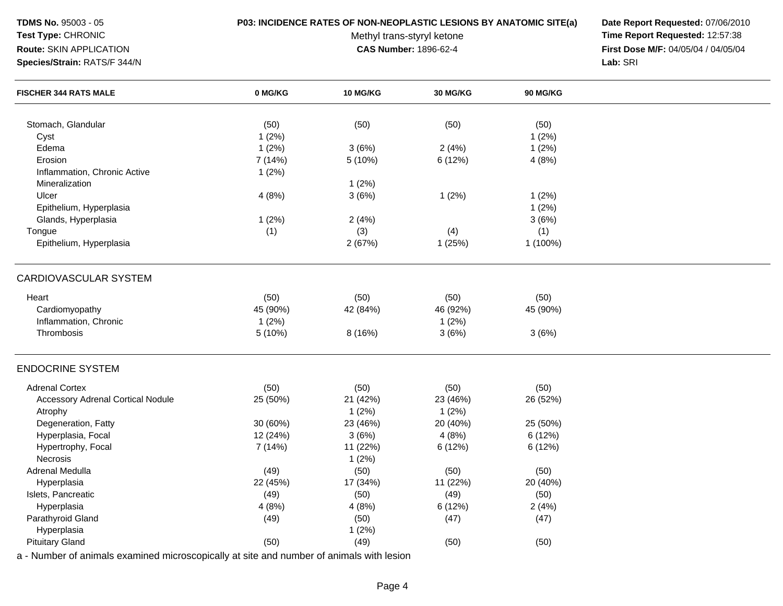#### **Test Type:** CHRONIC**Route:** SKIN APPLICATION

**Species/Strain:** RATS/F 344/N

### **P03: INCIDENCE RATES OF NON-NEOPLASTIC LESIONS BY ANATOMIC SITE(a) Date Report Requested:** 07/06/2010

Methyl trans-styryl ketone<br>CAS Number: 1896-62-4

 **Time Report Requested:** 12:57:38 **First Dose M/F:** 04/05/04 / 04/05/04<br>Lab: SRI **Lab:** SRI

| <b>FISCHER 344 RATS MALE</b>             | 0 MG/KG  | 10 MG/KG | <b>30 MG/KG</b> | <b>90 MG/KG</b> |  |
|------------------------------------------|----------|----------|-----------------|-----------------|--|
|                                          |          |          |                 |                 |  |
| Stomach, Glandular                       | (50)     | (50)     | (50)            | (50)            |  |
| Cyst                                     | 1(2%)    |          |                 | 1(2%)           |  |
| Edema                                    | 1(2%)    | 3(6%)    | 2(4%)           | 1(2%)           |  |
| Erosion                                  | 7 (14%)  | 5 (10%)  | 6 (12%)         | 4(8%)           |  |
| Inflammation, Chronic Active             | 1(2%)    |          |                 |                 |  |
| Mineralization                           |          | 1(2%)    |                 |                 |  |
| Ulcer                                    | 4(8%)    | 3(6%)    | 1(2%)           | 1(2%)           |  |
| Epithelium, Hyperplasia                  |          |          |                 | 1(2%)           |  |
| Glands, Hyperplasia                      | 1(2%)    | 2(4%)    |                 | 3(6%)           |  |
| Tongue                                   | (1)      | (3)      | (4)             | (1)             |  |
| Epithelium, Hyperplasia                  |          | 2(67%)   | 1(25%)          | 1 (100%)        |  |
| CARDIOVASCULAR SYSTEM                    |          |          |                 |                 |  |
| Heart                                    | (50)     | (50)     | (50)            | (50)            |  |
| Cardiomyopathy                           | 45 (90%) | 42 (84%) | 46 (92%)        | 45 (90%)        |  |
| Inflammation, Chronic                    | 1(2%)    |          | 1(2%)           |                 |  |
| Thrombosis                               | 5 (10%)  | 8(16%)   | 3(6%)           | 3(6%)           |  |
| <b>ENDOCRINE SYSTEM</b>                  |          |          |                 |                 |  |
| <b>Adrenal Cortex</b>                    | (50)     | (50)     | (50)            | (50)            |  |
| <b>Accessory Adrenal Cortical Nodule</b> | 25 (50%) | 21 (42%) | 23 (46%)        | 26 (52%)        |  |
| Atrophy                                  |          | 1(2%)    | 1(2%)           |                 |  |
| Degeneration, Fatty                      | 30 (60%) | 23 (46%) | 20 (40%)        | 25 (50%)        |  |
| Hyperplasia, Focal                       | 12 (24%) | 3(6%)    | 4(8%)           | 6(12%)          |  |
| Hypertrophy, Focal                       | 7(14%)   | 11 (22%) | 6(12%)          | 6(12%)          |  |
| Necrosis                                 |          | 1(2%)    |                 |                 |  |
| Adrenal Medulla                          | (49)     | (50)     | (50)            | (50)            |  |
| Hyperplasia                              | 22 (45%) | 17 (34%) | 11 (22%)        | 20 (40%)        |  |
| Islets, Pancreatic                       | (49)     | (50)     | (49)            | (50)            |  |
| Hyperplasia                              | 4(8%)    | 4(8%)    | 6 (12%)         | 2(4%)           |  |
| Parathyroid Gland                        | (49)     | (50)     | (47)            | (47)            |  |
| Hyperplasia                              |          | 1(2%)    |                 |                 |  |
| <b>Pituitary Gland</b>                   | (50)     | (49)     | (50)            | (50)            |  |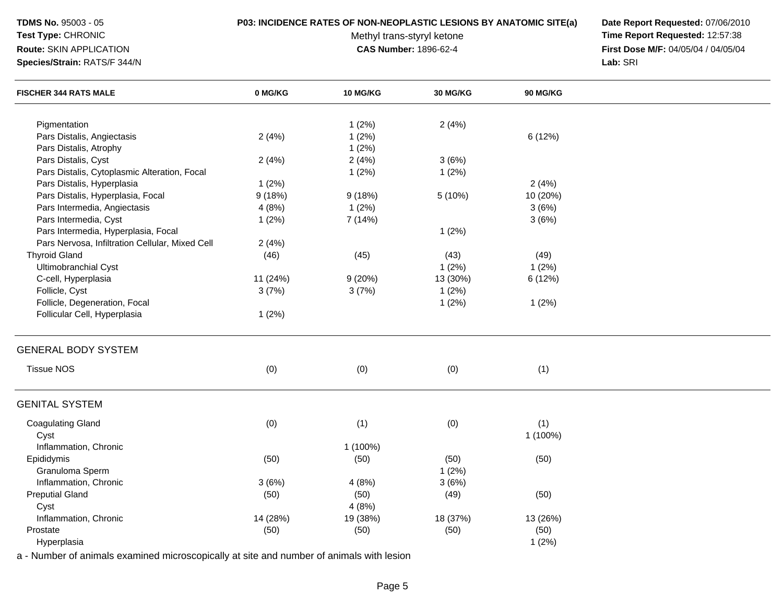## **Test Type:** CHRONIC

**Route:** SKIN APPLICATION

**Species/Strain:** RATS/F 344/N

### **P03: INCIDENCE RATES OF NON-NEOPLASTIC LESIONS BY ANATOMIC SITE(a) Date Report Requested:** 07/06/2010

Methyl trans-styryl ketone<br>CAS Number: 1896-62-4

 **Time Report Requested:** 12:57:38 **First Dose M/F:** 04/05/04 / 04/05/04<br>Lab: SRI **Lab:** SRI

| <b>FISCHER 344 RATS MALE</b>                    | 0 MG/KG  | 10 MG/KG | 30 MG/KG | 90 MG/KG |  |
|-------------------------------------------------|----------|----------|----------|----------|--|
| Pigmentation                                    |          |          |          |          |  |
| Pars Distalis, Angiectasis                      |          | 1(2%)    | 2(4%)    | 6 (12%)  |  |
|                                                 | 2(4%)    | 1(2%)    |          |          |  |
| Pars Distalis, Atrophy<br>Pars Distalis, Cyst   |          | 1(2%)    | 3(6%)    |          |  |
|                                                 | 2(4%)    | 2(4%)    |          |          |  |
| Pars Distalis, Cytoplasmic Alteration, Focal    |          | 1(2%)    | 1(2%)    |          |  |
| Pars Distalis, Hyperplasia                      | 1(2%)    |          |          | 2(4%)    |  |
| Pars Distalis, Hyperplasia, Focal               | 9(18%)   | 9(18%)   | 5 (10%)  | 10 (20%) |  |
| Pars Intermedia, Angiectasis                    | 4(8%)    | 1(2%)    |          | 3(6%)    |  |
| Pars Intermedia, Cyst                           | 1(2%)    | 7(14%)   |          | 3(6%)    |  |
| Pars Intermedia, Hyperplasia, Focal             |          |          | 1(2%)    |          |  |
| Pars Nervosa, Infiltration Cellular, Mixed Cell | 2(4%)    |          |          |          |  |
| <b>Thyroid Gland</b>                            | (46)     | (45)     | (43)     | (49)     |  |
| <b>Ultimobranchial Cyst</b>                     |          |          | $1(2\%)$ | $1(2\%)$ |  |
| C-cell, Hyperplasia                             | 11 (24%) | 9(20%)   | 13 (30%) | 6 (12%)  |  |
| Follicle, Cyst                                  | 3(7%)    | 3(7%)    | 1(2%)    |          |  |
| Follicle, Degeneration, Focal                   |          |          | 1(2%)    | 1(2%)    |  |
| Follicular Cell, Hyperplasia                    | 1(2%)    |          |          |          |  |
| <b>GENERAL BODY SYSTEM</b>                      |          |          |          |          |  |
| <b>Tissue NOS</b>                               | (0)      | (0)      | (0)      | (1)      |  |
| <b>GENITAL SYSTEM</b>                           |          |          |          |          |  |
| <b>Coagulating Gland</b>                        | (0)      | (1)      | (0)      | (1)      |  |
| Cyst                                            |          |          |          | 1 (100%) |  |
| Inflammation, Chronic                           |          | 1 (100%) |          |          |  |
| Epididymis                                      | (50)     | (50)     | (50)     | (50)     |  |
| Granuloma Sperm                                 |          |          | 1(2%)    |          |  |
| Inflammation, Chronic                           | 3(6%)    | 4(8%)    | 3(6%)    |          |  |
| <b>Preputial Gland</b>                          | (50)     | (50)     | (49)     | (50)     |  |
| Cyst                                            |          | 4(8%)    |          |          |  |
| Inflammation, Chronic                           | 14 (28%) | 19 (38%) | 18 (37%) | 13 (26%) |  |
| Prostate                                        | (50)     | (50)     | (50)     | (50)     |  |
| Hyperplasia                                     |          |          |          | 1(2%)    |  |
|                                                 |          |          |          |          |  |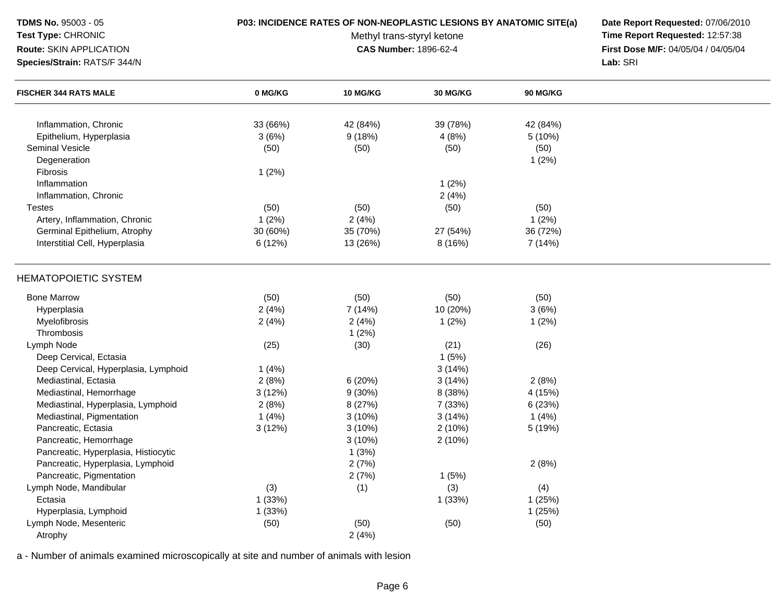| <b>TDMS No. 95003 - 05</b>           | P03: INCIDENCE RATES OF NON-NEOPLASTIC LESIONS BY ANATOMIC SITE(a) | Date Report Requested: 07/06/2010 |                                 |                 |                                     |
|--------------------------------------|--------------------------------------------------------------------|-----------------------------------|---------------------------------|-----------------|-------------------------------------|
| Test Type: CHRONIC                   |                                                                    | Methyl trans-styryl ketone        | Time Report Requested: 12:57:38 |                 |                                     |
| Route: SKIN APPLICATION              |                                                                    |                                   | CAS Number: 1896-62-4           |                 | First Dose M/F: 04/05/04 / 04/05/04 |
| Species/Strain: RATS/F 344/N         |                                                                    |                                   |                                 |                 | Lab: SRI                            |
| <b>FISCHER 344 RATS MALE</b>         | 0 MG/KG                                                            | <b>10 MG/KG</b>                   | <b>30 MG/KG</b>                 | <b>90 MG/KG</b> |                                     |
| Inflammation, Chronic                | 33 (66%)                                                           | 42 (84%)                          | 39 (78%)                        | 42 (84%)        |                                     |
| Epithelium, Hyperplasia              | 3(6%)                                                              | 9(18%)                            | 4(8%)                           | 5 (10%)         |                                     |
| <b>Seminal Vesicle</b>               | (50)                                                               | (50)                              | (50)                            | (50)            |                                     |
| Degeneration                         |                                                                    |                                   |                                 | 1(2%)           |                                     |
| Fibrosis                             | 1(2%)                                                              |                                   |                                 |                 |                                     |
| Inflammation                         |                                                                    |                                   | 1(2%)                           |                 |                                     |
| Inflammation, Chronic                |                                                                    |                                   | 2(4%)                           |                 |                                     |
| <b>Testes</b>                        | (50)                                                               | (50)                              | (50)                            | (50)            |                                     |
| Artery, Inflammation, Chronic        | 1(2%)                                                              | 2(4%)                             |                                 | 1(2%)           |                                     |
| Germinal Epithelium, Atrophy         | 30 (60%)                                                           | 35 (70%)                          | 27 (54%)                        | 36 (72%)        |                                     |
| Interstitial Cell, Hyperplasia       | 6 (12%)                                                            | 13 (26%)                          | 8(16%)                          | 7 (14%)         |                                     |
| <b>HEMATOPOIETIC SYSTEM</b>          |                                                                    |                                   |                                 |                 |                                     |
| <b>Bone Marrow</b>                   | (50)                                                               | (50)                              | (50)                            | (50)            |                                     |
| Hyperplasia                          | 2(4%)                                                              | 7 (14%)                           | 10 (20%)                        | 3(6%)           |                                     |
| Myelofibrosis                        | 2(4%)                                                              | 2(4%)                             | 1(2%)                           | 1(2%)           |                                     |
| Thrombosis                           |                                                                    | 1(2%)                             |                                 |                 |                                     |
| Lymph Node                           | (25)                                                               | (30)                              | (21)                            | (26)            |                                     |
| Deep Cervical, Ectasia               |                                                                    |                                   | 1(5%)                           |                 |                                     |
| Deep Cervical, Hyperplasia, Lymphoid | 1(4%)                                                              |                                   | 3(14%)                          |                 |                                     |
| Mediastinal, Ectasia                 | 2(8%)                                                              | 6(20%)                            | 3(14%)                          | 2(8%)           |                                     |
| Mediastinal, Hemorrhage              | 3(12%)                                                             | $9(30\%)$                         | 8 (38%)                         | 4 (15%)         |                                     |
| Mediastinal, Hyperplasia, Lymphoid   | 2(8%)                                                              | 8(27%)                            | 7 (33%)                         | 6(23%)          |                                     |
| Mediastinal, Pigmentation            | 1(4%)                                                              | $3(10\%)$                         | 3(14%)                          | 1 $(4%)$        |                                     |
| Pancreatic, Ectasia                  | 3(12%)                                                             | $3(10\%)$                         | 2(10%)                          | 5 (19%)         |                                     |
| Pancreatic, Hemorrhage               |                                                                    | 3(10%)                            | 2(10%)                          |                 |                                     |
| Pancreatic, Hyperplasia, Histiocytic |                                                                    | 1(3%)                             |                                 |                 |                                     |
| Pancreatic, Hyperplasia, Lymphoid    |                                                                    | 2(7%)                             |                                 | 2(8%)           |                                     |
| Pancreatic, Pigmentation             |                                                                    | 2(7%)                             | 1(5%)                           |                 |                                     |
| Lymph Node, Mandibular               | (3)                                                                | (1)                               | (3)                             | (4)             |                                     |
| Ectasia                              | 1 (33%)                                                            |                                   | 1(33%)                          | 1(25%)          |                                     |
| Hyperplasia, Lymphoid                | 1(33%)                                                             |                                   |                                 | 1(25%)          |                                     |
| Lymph Node, Mesenteric               | (50)                                                               | (50)                              | (50)                            | (50)            |                                     |
| Atrophy                              |                                                                    | 2(4%)                             |                                 |                 |                                     |

a - Number of animals examined microscopically at site and number of animals with lesion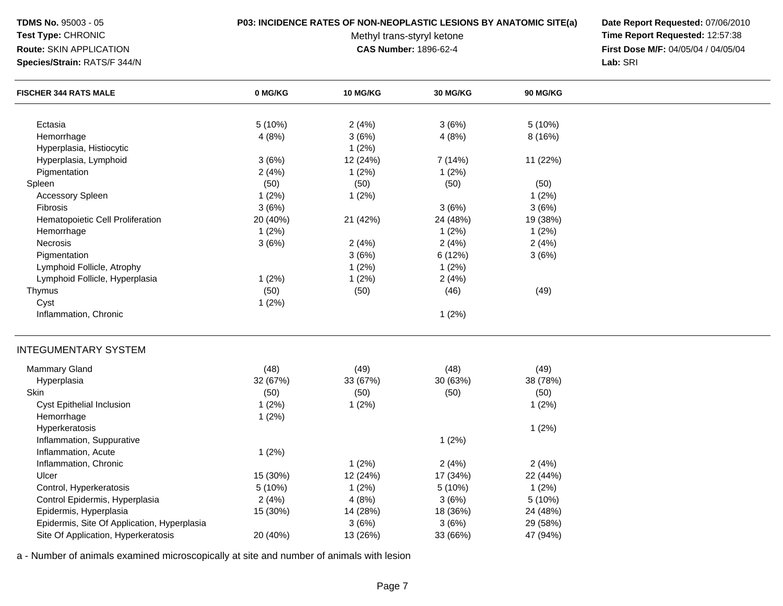# **Test Type:** CHRONIC

### **Route:** SKIN APPLICATION

**Species/Strain:** RATS/F 344/N

#### **P03: INCIDENCE RATES OF NON-NEOPLASTIC LESIONS BY ANATOMIC SITE(a) Date Report Requested:** 07/06/2010

Methyl trans-styryl ketone<br>CAS Number: 1896-62-4

 **Time Report Requested:** 12:57:38 **First Dose M/F:** 04/05/04 / 04/05/04<br>Lab: SRI **Lab:** SRI

| <b>FISCHER 344 RATS MALE</b>                | 0 MG/KG          | 10 MG/KG       | 30 MG/KG       | 90 MG/KG |  |
|---------------------------------------------|------------------|----------------|----------------|----------|--|
| Ectasia                                     |                  |                |                | 5(10%)   |  |
| Hemorrhage                                  | 5 (10%)<br>4(8%) | 2(4%)<br>3(6%) | 3(6%)<br>4(8%) | 8 (16%)  |  |
| Hyperplasia, Histiocytic                    |                  | 1(2%)          |                |          |  |
| Hyperplasia, Lymphoid                       | 3(6%)            | 12 (24%)       | 7 (14%)        | 11 (22%) |  |
| Pigmentation                                | 2(4%)            | 1(2%)          | 1(2%)          |          |  |
| Spleen                                      | (50)             | (50)           | (50)           | (50)     |  |
| <b>Accessory Spleen</b>                     | 1(2%)            | 1(2%)          |                | $1(2\%)$ |  |
| <b>Fibrosis</b>                             | 3(6%)            |                | 3(6%)          | 3(6%)    |  |
| Hematopoietic Cell Proliferation            | 20 (40%)         | 21 (42%)       | 24 (48%)       | 19 (38%) |  |
| Hemorrhage                                  | 1(2%)            |                | 1(2%)          | 1(2%)    |  |
| Necrosis                                    | 3(6%)            | 2(4%)          | 2(4%)          | 2(4%)    |  |
| Pigmentation                                |                  | 3(6%)          | 6 (12%)        | 3(6%)    |  |
| Lymphoid Follicle, Atrophy                  |                  | 1(2%)          | 1(2%)          |          |  |
| Lymphoid Follicle, Hyperplasia              | 1(2%)            | 1(2%)          | 2(4%)          |          |  |
| Thymus                                      | (50)             | (50)           | (46)           | (49)     |  |
| Cyst                                        | 1(2%)            |                |                |          |  |
| Inflammation, Chronic                       |                  |                | 1(2%)          |          |  |
|                                             |                  |                |                |          |  |
| <b>INTEGUMENTARY SYSTEM</b>                 |                  |                |                |          |  |
| Mammary Gland                               | (48)             | (49)           | (48)           | (49)     |  |
| Hyperplasia                                 | 32 (67%)         | 33 (67%)       | 30 (63%)       | 38 (78%) |  |
| Skin                                        | (50)             | (50)           | (50)           | (50)     |  |
| Cyst Epithelial Inclusion                   | 1(2%)            | 1(2%)          |                | 1(2%)    |  |
| Hemorrhage                                  | 1(2%)            |                |                |          |  |
| Hyperkeratosis                              |                  |                |                | 1(2%)    |  |
| Inflammation, Suppurative                   |                  |                | 1(2%)          |          |  |
| Inflammation, Acute                         | 1(2%)            |                |                |          |  |
| Inflammation, Chronic                       |                  | 1(2%)          | 2(4%)          | 2(4%)    |  |
| Ulcer                                       | 15 (30%)         | 12 (24%)       | 17 (34%)       | 22 (44%) |  |
| Control, Hyperkeratosis                     | 5 (10%)          | 1(2%)          | 5 (10%)        | 1(2%)    |  |
| Control Epidermis, Hyperplasia              | 2(4%)            | 4(8%)          | 3(6%)          | 5 (10%)  |  |
| Epidermis, Hyperplasia                      | 15 (30%)         | 14 (28%)       | 18 (36%)       | 24 (48%) |  |
| Epidermis, Site Of Application, Hyperplasia |                  | 3(6%)          | 3(6%)          | 29 (58%) |  |
| Site Of Application, Hyperkeratosis         | 20 (40%)         | 13 (26%)       | 33 (66%)       | 47 (94%) |  |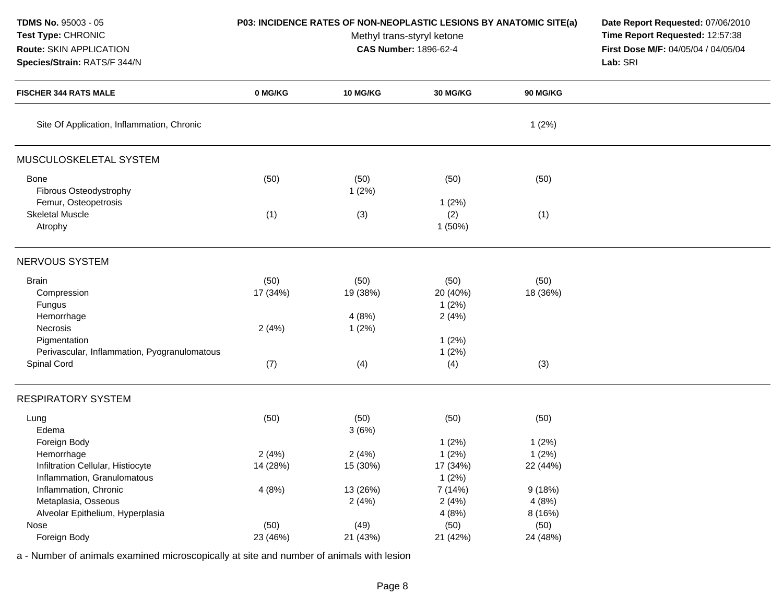| <b>TDMS No. 95003 - 05</b>     |
|--------------------------------|
| <b>Test Type: CHRONIC</b>      |
| <b>Route: SKIN APPLICATION</b> |

# **Species/Strain:** RATS/F 344/N

**P03: INCIDENCE RATES OF NON-NEOPLASTIC LESIONS BY ANATOMIC SITE(a) Date Report Requested:** 07/06/2010

Methyl trans-styryl ketone<br>CAS Number: 1896-62-4

 **Time Report Requested:** 12:57:38 **First Dose M/F:** 04/05/04 / 04/05/04<br>Lab: SRI **Lab:** SRI

| <b>FISCHER 344 RATS MALE</b>                                                   | 0 MG/KG           | 10 MG/KG                  | <b>30 MG/KG</b>                    | <b>90 MG/KG</b>   |  |
|--------------------------------------------------------------------------------|-------------------|---------------------------|------------------------------------|-------------------|--|
| Site Of Application, Inflammation, Chronic                                     |                   |                           |                                    | 1(2%)             |  |
| MUSCULOSKELETAL SYSTEM                                                         |                   |                           |                                    |                   |  |
| <b>Bone</b><br>Fibrous Osteodystrophy                                          | (50)              | (50)<br>1(2%)             | (50)                               | (50)              |  |
| Femur, Osteopetrosis<br><b>Skeletal Muscle</b><br>Atrophy                      | (1)               | (3)                       | 1(2%)<br>(2)<br>1(50%)             | (1)               |  |
| NERVOUS SYSTEM                                                                 |                   |                           |                                    |                   |  |
| <b>Brain</b><br>Compression<br>Fungus<br>Hemorrhage                            | (50)<br>17 (34%)  | (50)<br>19 (38%)<br>4(8%) | (50)<br>20 (40%)<br>1(2%)<br>2(4%) | (50)<br>18 (36%)  |  |
| Necrosis<br>Pigmentation<br>Perivascular, Inflammation, Pyogranulomatous       | 2(4%)             | 1(2%)                     | 1(2%)<br>1(2%)                     |                   |  |
| Spinal Cord                                                                    | (7)               | (4)                       | (4)                                | (3)               |  |
| <b>RESPIRATORY SYSTEM</b>                                                      |                   |                           |                                    |                   |  |
| Lung<br>Edema                                                                  | (50)              | (50)<br>3(6%)             | (50)                               | (50)              |  |
| Foreign Body                                                                   |                   |                           | 1(2%)                              | 1(2%)             |  |
| Hemorrhage<br>Infiltration Cellular, Histiocyte<br>Inflammation, Granulomatous | 2(4%)<br>14 (28%) | 2(4%)<br>15 (30%)         | 1(2%)<br>17 (34%)<br>1(2%)         | 1(2%)<br>22 (44%) |  |
| Inflammation, Chronic<br>Metaplasia, Osseous                                   | 4(8%)             | 13 (26%)<br>2(4%)         | 7(14%)<br>2(4%)                    | 9(18%)<br>4(8%)   |  |
| Alveolar Epithelium, Hyperplasia<br>Nose                                       | (50)              | (49)                      | 4(8%)<br>(50)                      | 8 (16%)<br>(50)   |  |
| Foreign Body                                                                   | 23 (46%)          | 21 (43%)                  | 21 (42%)                           | 24 (48%)          |  |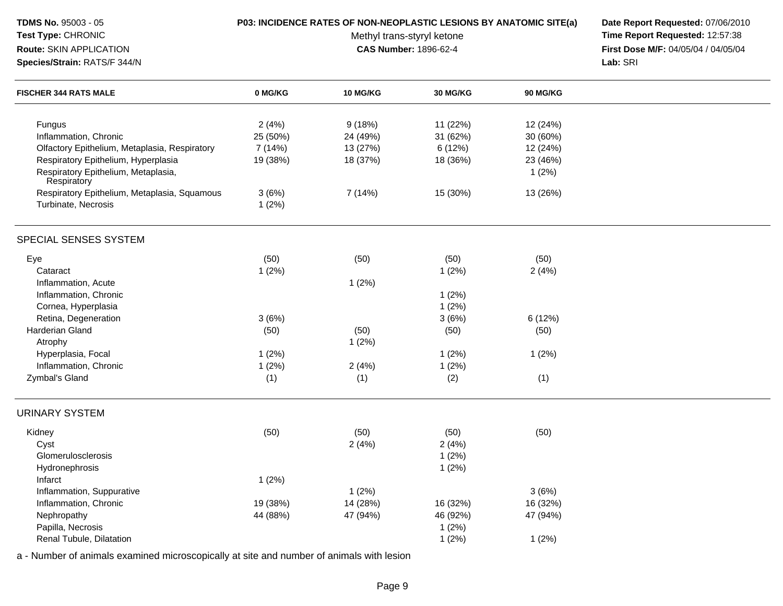| <b>TDMS No. 95003 - 05</b><br>Test Type: CHRONIC<br>Route: SKIN APPLICATION<br>Species/Strain: RATS/F 344/N                                                                   |                                         | P03: INCIDENCE RATES OF NON-NEOPLASTIC LESIONS BY ANATOMIC SITE(a)<br>Methyl trans-styryl ketone<br>CAS Number: 1896-62-4 | Date Report Requested: 07/06/2010<br>Time Report Requested: 12:57:38<br>First Dose M/F: 04/05/04 / 04/05/04<br>Lab: SRI |                                                       |  |
|-------------------------------------------------------------------------------------------------------------------------------------------------------------------------------|-----------------------------------------|---------------------------------------------------------------------------------------------------------------------------|-------------------------------------------------------------------------------------------------------------------------|-------------------------------------------------------|--|
| <b>FISCHER 344 RATS MALE</b>                                                                                                                                                  | 0 MG/KG                                 | 10 MG/KG                                                                                                                  | 30 MG/KG                                                                                                                | <b>90 MG/KG</b>                                       |  |
| Fungus<br>Inflammation, Chronic<br>Olfactory Epithelium, Metaplasia, Respiratory<br>Respiratory Epithelium, Hyperplasia<br>Respiratory Epithelium, Metaplasia,<br>Respiratory | 2(4%)<br>25 (50%)<br>7(14%)<br>19 (38%) | 9(18%)<br>24 (49%)<br>13 (27%)<br>18 (37%)                                                                                | 11 (22%)<br>31 (62%)<br>6 (12%)<br>18 (36%)                                                                             | 12 (24%)<br>30 (60%)<br>12 (24%)<br>23 (46%)<br>1(2%) |  |
| Respiratory Epithelium, Metaplasia, Squamous<br>Turbinate, Necrosis                                                                                                           | 3(6%)<br>1(2%)                          | 7 (14%)                                                                                                                   | 15 (30%)                                                                                                                | 13 (26%)                                              |  |
| SPECIAL SENSES SYSTEM                                                                                                                                                         |                                         |                                                                                                                           |                                                                                                                         |                                                       |  |
| Eye<br>Cataract<br>Inflammation, Acute<br>Inflammation, Chronic<br>Cornea, Hyperplasia                                                                                        | (50)<br>1(2%)                           | (50)<br>1(2%)                                                                                                             | (50)<br>1(2%)<br>1(2%)<br>1(2%)                                                                                         | (50)<br>2(4%)                                         |  |
| Retina, Degeneration<br>Harderian Gland<br>Atrophy                                                                                                                            | 3(6%)<br>(50)                           | (50)<br>1(2%)                                                                                                             | 3(6%)<br>(50)                                                                                                           | 6(12%)<br>(50)                                        |  |
| Hyperplasia, Focal<br>Inflammation, Chronic<br>Zymbal's Gland                                                                                                                 | 1(2%)<br>1(2%)<br>(1)                   | 2(4%)<br>(1)                                                                                                              | 1(2%)<br>1(2%)<br>(2)                                                                                                   | 1(2%)<br>(1)                                          |  |
| <b>URINARY SYSTEM</b>                                                                                                                                                         |                                         |                                                                                                                           |                                                                                                                         |                                                       |  |
| Kidney<br>Cyst<br>Glomerulosclerosis<br>Hydronephrosis<br>Infarct                                                                                                             | (50)<br>1(2%)                           | (50)<br>2(4%)                                                                                                             | (50)<br>2(4%)<br>1(2%)<br>1(2%)                                                                                         | (50)                                                  |  |
| Inflammation, Suppurative<br>Inflammation, Chronic<br>Nephropathy<br>Papilla, Necrosis<br>Renal Tubule, Dilatation                                                            | 19 (38%)<br>44 (88%)                    | 1(2%)<br>14 (28%)<br>47 (94%)                                                                                             | 16 (32%)<br>46 (92%)<br>1(2%)<br>1(2%)                                                                                  | 3(6%)<br>16 (32%)<br>47 (94%)<br>1(2%)                |  |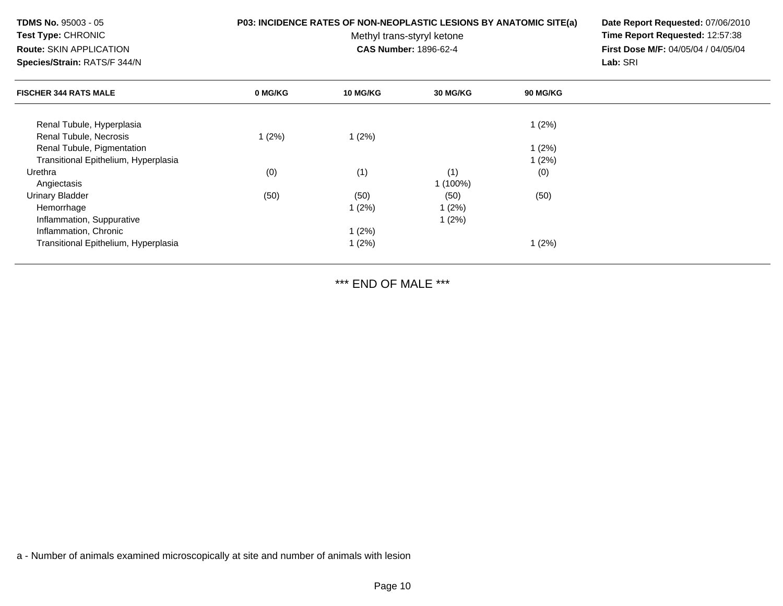**TDMS No.** 95003 - 05**Test Type:** CHRONIC

**Route:** SKIN APPLICATION

**Species/Strain:** RATS/F 344/N

#### **P03: INCIDENCE RATES OF NON-NEOPLASTIC LESIONS BY ANATOMIC SITE(a) Date Report Requested:** 07/06/2010

Methyl trans-styryl ketone<br>CAS Number: 1896-62-4

 **Time Report Requested:** 12:57:38 **First Dose M/F:** 04/05/04 / 04/05/04<br>Lab: SRI **Lab:** SRI

| <b>FISCHER 344 RATS MALE</b>         | 0 MG/KG | <b>10 MG/KG</b> | <b>30 MG/KG</b> | <b>90 MG/KG</b> |  |
|--------------------------------------|---------|-----------------|-----------------|-----------------|--|
| Renal Tubule, Hyperplasia            |         |                 |                 | 1(2%)           |  |
| Renal Tubule, Necrosis               | 1(2%)   | 1(2%)           |                 |                 |  |
| Renal Tubule, Pigmentation           |         |                 |                 | 1(2%)           |  |
| Transitional Epithelium, Hyperplasia |         |                 |                 | 1(2%)           |  |
| Urethra                              | (0)     | (1)             | (1)             | (0)             |  |
| Angiectasis                          |         |                 | $1(100\%)$      |                 |  |
| <b>Urinary Bladder</b>               | (50)    | (50)            | (50)            | (50)            |  |
| Hemorrhage                           |         | 1(2%)           | 1(2%)           |                 |  |
| Inflammation, Suppurative            |         |                 | 1(2%)           |                 |  |
| Inflammation, Chronic                |         | 1(2%)           |                 |                 |  |
| Transitional Epithelium, Hyperplasia |         | 1(2%)           |                 | 1(2%)           |  |

\*\*\* END OF MALE \*\*\*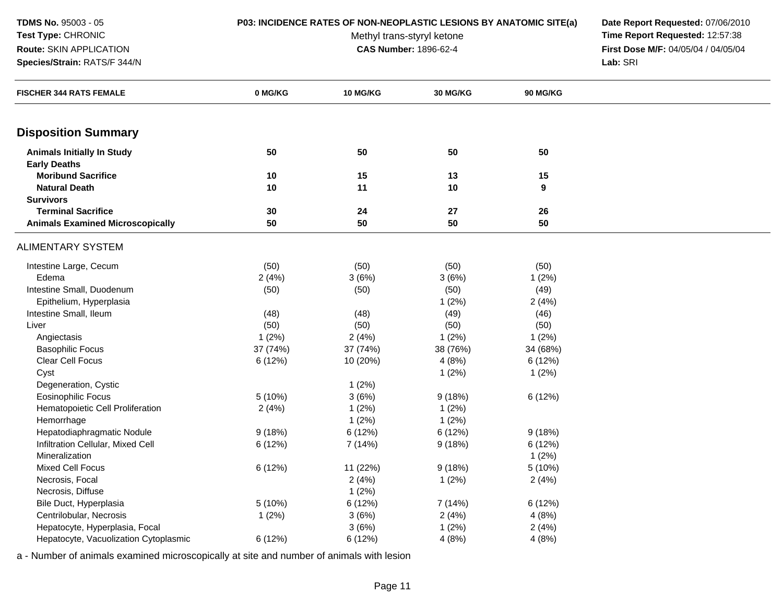#### **Test Type:** CHRONIC**Route:** SKIN APPLICATION

**Species/Strain:** RATS/F 344/N

**P03: INCIDENCE RATES OF NON-NEOPLASTIC LESIONS BY ANATOMIC SITE(a) Date Report Requested:** 07/06/2010

Methyl trans-styryl ketone<br>CAS Number: 1896-62-4

 **Time Report Requested:** 12:57:38 **First Dose M/F:** 04/05/04 / 04/05/04<br>Lab: SRI **Lab:** SRI

| <b>FISCHER 344 RATS FEMALE</b>          | 0 MG/KG  | 10 MG/KG | 30 MG/KG | 90 MG/KG         |  |
|-----------------------------------------|----------|----------|----------|------------------|--|
| <b>Disposition Summary</b>              |          |          |          |                  |  |
|                                         |          |          |          |                  |  |
| <b>Animals Initially In Study</b>       | 50       | 50       | 50       | 50               |  |
| <b>Early Deaths</b>                     |          |          |          |                  |  |
| <b>Moribund Sacrifice</b>               | 10       | 15       | 13       | 15               |  |
| <b>Natural Death</b>                    | 10       | 11       | 10       | $\boldsymbol{9}$ |  |
| <b>Survivors</b>                        |          |          |          |                  |  |
| <b>Terminal Sacrifice</b>               | 30       | 24       | 27       | 26               |  |
| <b>Animals Examined Microscopically</b> | 50       | 50       | 50       | 50               |  |
| <b>ALIMENTARY SYSTEM</b>                |          |          |          |                  |  |
| Intestine Large, Cecum                  | (50)     | (50)     | (50)     | (50)             |  |
| Edema                                   | 2(4%)    | 3(6%)    | 3(6%)    | 1(2%)            |  |
| Intestine Small, Duodenum               | (50)     | (50)     | (50)     | (49)             |  |
| Epithelium, Hyperplasia                 |          |          | 1(2%)    | 2(4%)            |  |
| Intestine Small, Ileum                  | (48)     | (48)     | (49)     | (46)             |  |
| Liver                                   | (50)     | (50)     | (50)     | (50)             |  |
| Angiectasis                             | 1(2%)    | 2(4%)    | 1(2%)    | 1(2%)            |  |
| <b>Basophilic Focus</b>                 | 37 (74%) | 37 (74%) | 38 (76%) | 34 (68%)         |  |
| <b>Clear Cell Focus</b>                 | 6 (12%)  | 10 (20%) | 4(8%)    | 6(12%)           |  |
| Cyst                                    |          |          | 1(2%)    | 1(2%)            |  |
| Degeneration, Cystic                    |          | 1(2%)    |          |                  |  |
| <b>Eosinophilic Focus</b>               | 5 (10%)  | 3(6%)    | 9(18%)   | 6 (12%)          |  |
| Hematopoietic Cell Proliferation        | 2(4%)    | 1(2%)    | 1(2%)    |                  |  |
| Hemorrhage                              |          | 1(2%)    | 1(2%)    |                  |  |
| Hepatodiaphragmatic Nodule              | 9(18%)   | 6 (12%)  | 6 (12%)  | 9(18%)           |  |
| Infiltration Cellular, Mixed Cell       | 6 (12%)  | 7 (14%)  | 9(18%)   | 6(12%)           |  |
| Mineralization                          |          |          |          | 1(2%)            |  |
| <b>Mixed Cell Focus</b>                 | 6 (12%)  | 11 (22%) | 9(18%)   | 5 (10%)          |  |
| Necrosis, Focal                         |          | 2(4%)    | 1(2%)    | 2(4%)            |  |
| Necrosis, Diffuse                       |          | 1(2%)    |          |                  |  |
| Bile Duct, Hyperplasia                  | 5 (10%)  | 6 (12%)  | 7 (14%)  | 6 (12%)          |  |
| Centrilobular, Necrosis                 | 1(2%)    | 3(6%)    | 2(4%)    | 4(8%)            |  |
| Hepatocyte, Hyperplasia, Focal          |          | 3(6%)    | 1(2%)    | 2(4%)            |  |
| Hepatocyte, Vacuolization Cytoplasmic   | 6 (12%)  | 6 (12%)  | 4(8%)    | 4(8%)            |  |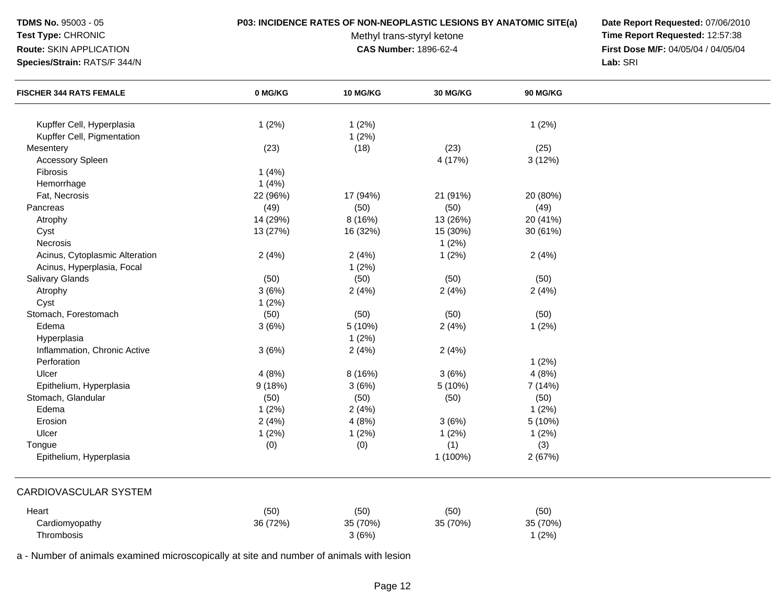#### **Test Type:** CHRONIC

## **Route:** SKIN APPLICATION

**Species/Strain:** RATS/F 344/N

#### **P03: INCIDENCE RATES OF NON-NEOPLASTIC LESIONS BY ANATOMIC SITE(a) Date Report Requested:** 07/06/2010

Methyl trans-styryl ketone<br>CAS Number: 1896-62-4

 **Time Report Requested:** 12:57:38 **First Dose M/F:** 04/05/04 / 04/05/04<br>Lab: SRI **Lab:** SRI

| <b>FISCHER 344 RATS FEMALE</b>                          | 0 MG/KG  | 10 MG/KG       | 30 MG/KG | 90 MG/KG |  |
|---------------------------------------------------------|----------|----------------|----------|----------|--|
|                                                         |          |                |          |          |  |
| Kupffer Cell, Hyperplasia<br>Kupffer Cell, Pigmentation | 1(2%)    | 1(2%)<br>1(2%) |          | 1(2%)    |  |
| Mesentery                                               | (23)     | (18)           | (23)     | (25)     |  |
| <b>Accessory Spleen</b>                                 |          |                | 4 (17%)  | 3(12%)   |  |
| Fibrosis                                                | 1(4%)    |                |          |          |  |
| Hemorrhage                                              | 1(4%)    |                |          |          |  |
| Fat, Necrosis                                           | 22 (96%) | 17 (94%)       | 21 (91%) | 20 (80%) |  |
| Pancreas                                                | (49)     | (50)           | (50)     | (49)     |  |
| Atrophy                                                 | 14 (29%) | 8 (16%)        | 13 (26%) | 20 (41%) |  |
| Cyst                                                    | 13 (27%) | 16 (32%)       | 15 (30%) | 30 (61%) |  |
| Necrosis                                                |          |                | 1(2%)    |          |  |
| Acinus, Cytoplasmic Alteration                          | 2(4%)    | 2(4%)          | 1(2%)    | 2(4%)    |  |
| Acinus, Hyperplasia, Focal                              |          | 1(2%)          |          |          |  |
| <b>Salivary Glands</b>                                  | (50)     | (50)           | (50)     | (50)     |  |
| Atrophy                                                 | 3(6%)    | 2(4%)          | 2(4%)    | 2(4%)    |  |
| Cyst                                                    | 1(2%)    |                |          |          |  |
| Stomach, Forestomach                                    | (50)     | (50)           | (50)     | (50)     |  |
| Edema                                                   | 3(6%)    | 5 (10%)        | 2(4%)    | 1(2%)    |  |
| Hyperplasia                                             |          | 1(2%)          |          |          |  |
| Inflammation, Chronic Active                            | 3(6%)    | 2(4%)          | 2(4%)    |          |  |
| Perforation                                             |          |                |          | 1(2%)    |  |
| Ulcer                                                   | 4(8%)    | 8 (16%)        | 3(6%)    | 4(8%)    |  |
| Epithelium, Hyperplasia                                 | 9(18%)   | 3(6%)          | 5 (10%)  | 7 (14%)  |  |
| Stomach, Glandular                                      | (50)     | (50)           | (50)     | (50)     |  |
| Edema                                                   | 1(2%)    | 2(4%)          |          | 1(2%)    |  |
| Erosion                                                 | 2(4%)    | 4(8%)          | 3(6%)    | 5 (10%)  |  |
| Ulcer                                                   | 1(2%)    | 1(2%)          | 1(2%)    | 1(2%)    |  |
| Tongue                                                  | (0)      | (0)            | (1)      | (3)      |  |
| Epithelium, Hyperplasia                                 |          |                | 1 (100%) | 2(67%)   |  |
| <b>CARDIOVASCULAR SYSTEM</b>                            |          |                |          |          |  |
| Heart                                                   | (50)     | (50)           | (50)     | (50)     |  |
| Cardiomyopathy                                          | 36 (72%) | 35 (70%)       | 35 (70%) | 35 (70%) |  |
| Thrombosis                                              |          | 3(6%)          |          | 1(2%)    |  |
|                                                         |          |                |          |          |  |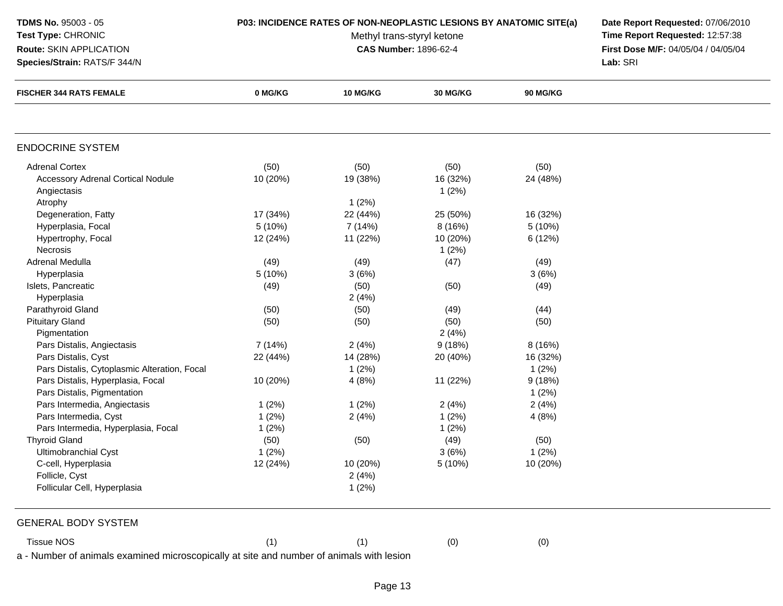## **Test Type:** CHRONIC**Route:** SKIN APPLICATION

**Species/Strain:** RATS/F 344/N

Methyl trans-styryl ketone<br>CAS Number: 1896-62-4

 **P03: INCIDENCE RATES OF NON-NEOPLASTIC LESIONS BY ANATOMIC SITE(a) Date Report Requested:** 07/06/2010 **Time Report Requested:** 12:57:38 **First Dose M/F:** 04/05/04 / 04/05/04<br>Lab: SRI **Lab:** SRI

| <b>FISCHER 344 RATS FEMALE</b>                                                           | 0 MG/KG  | <b>10 MG/KG</b> | <b>30 MG/KG</b> | <b>90 MG/KG</b> |  |
|------------------------------------------------------------------------------------------|----------|-----------------|-----------------|-----------------|--|
|                                                                                          |          |                 |                 |                 |  |
| <b>ENDOCRINE SYSTEM</b>                                                                  |          |                 |                 |                 |  |
| <b>Adrenal Cortex</b>                                                                    | (50)     | (50)            | (50)            | (50)            |  |
| <b>Accessory Adrenal Cortical Nodule</b>                                                 | 10 (20%) | 19 (38%)        | 16 (32%)        | 24 (48%)        |  |
| Angiectasis                                                                              |          |                 | 1(2%)           |                 |  |
| Atrophy                                                                                  |          | 1(2%)           |                 |                 |  |
| Degeneration, Fatty                                                                      | 17 (34%) | 22 (44%)        | 25 (50%)        | 16 (32%)        |  |
| Hyperplasia, Focal                                                                       | 5(10%)   | 7 (14%)         | 8 (16%)         | 5 (10%)         |  |
| Hypertrophy, Focal                                                                       | 12 (24%) | 11 (22%)        | 10 (20%)        | 6 (12%)         |  |
| Necrosis                                                                                 |          |                 | 1(2%)           |                 |  |
| Adrenal Medulla                                                                          | (49)     | (49)            | (47)            | (49)            |  |
| Hyperplasia                                                                              | 5 (10%)  | 3(6%)           |                 | 3(6%)           |  |
| Islets, Pancreatic                                                                       | (49)     | (50)            | (50)            | (49)            |  |
| Hyperplasia                                                                              |          | 2(4%)           |                 |                 |  |
| Parathyroid Gland                                                                        | (50)     | (50)            | (49)            | (44)            |  |
| <b>Pituitary Gland</b>                                                                   | (50)     | (50)            | (50)            | (50)            |  |
| Pigmentation                                                                             |          |                 | 2(4%)           |                 |  |
| Pars Distalis, Angiectasis                                                               | 7 (14%)  | 2(4%)           | 9(18%)          | 8 (16%)         |  |
| Pars Distalis, Cyst                                                                      | 22 (44%) | 14 (28%)        | 20 (40%)        | 16 (32%)        |  |
| Pars Distalis, Cytoplasmic Alteration, Focal                                             |          | 1(2%)           |                 | 1(2%)           |  |
| Pars Distalis, Hyperplasia, Focal                                                        | 10 (20%) | 4(8%)           | 11 (22%)        | 9(18%)          |  |
| Pars Distalis, Pigmentation                                                              |          |                 |                 | 1(2%)           |  |
| Pars Intermedia, Angiectasis                                                             | 1(2%)    | 1(2%)           | 2(4%)           | 2(4%)           |  |
| Pars Intermedia, Cyst                                                                    | 1(2%)    | 2(4%)           | 1(2%)           | 4(8%)           |  |
| Pars Intermedia, Hyperplasia, Focal                                                      | 1(2%)    |                 | 1(2%)           |                 |  |
| <b>Thyroid Gland</b>                                                                     | (50)     | (50)            | (49)            | (50)            |  |
| Ultimobranchial Cyst                                                                     | 1(2%)    |                 | 3(6%)           | 1(2%)           |  |
| C-cell, Hyperplasia                                                                      | 12 (24%) | 10 (20%)        | 5 (10%)         | 10 (20%)        |  |
| Follicle, Cyst                                                                           |          | 2(4%)           |                 |                 |  |
| Follicular Cell, Hyperplasia                                                             |          | 1(2%)           |                 |                 |  |
| <b>GENERAL BODY SYSTEM</b>                                                               |          |                 |                 |                 |  |
| <b>Tissue NOS</b>                                                                        | (1)      | (1)             | (0)             | (0)             |  |
| a - Number of animals examined microscopically at site and number of animals with lesion |          |                 |                 |                 |  |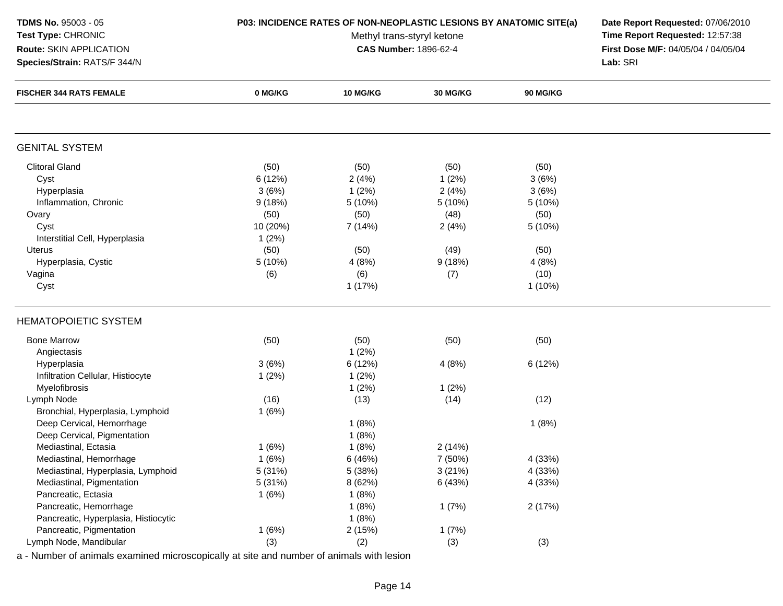#### **Test Type:** CHRONIC**Route:** SKIN APPLICATION

**Species/Strain:** RATS/F 344/N

#### **P03: INCIDENCE RATES OF NON-NEOPLASTIC LESIONS BY ANATOMIC SITE(a) Date Report Requested:** 07/06/2010

Methyl trans-styryl ketone<br>CAS Number: 1896-62-4

 **Time Report Requested:** 12:57:38 **First Dose M/F:** 04/05/04 / 04/05/04<br>Lab: SRI **Lab:** SRI

| <b>FISCHER 344 RATS FEMALE</b>       | 0 MG/KG  | <b>10 MG/KG</b> | 30 MG/KG | 90 MG/KG  |  |
|--------------------------------------|----------|-----------------|----------|-----------|--|
|                                      |          |                 |          |           |  |
| <b>GENITAL SYSTEM</b>                |          |                 |          |           |  |
| <b>Clitoral Gland</b>                | (50)     | (50)            | (50)     | (50)      |  |
| Cyst                                 | 6(12%)   | 2(4%)           | 1(2%)    | 3(6%)     |  |
| Hyperplasia                          | 3(6%)    | 1(2%)           | 2(4%)    | 3(6%)     |  |
| Inflammation, Chronic                | 9(18%)   | 5 (10%)         | 5 (10%)  | 5 (10%)   |  |
| Ovary                                | (50)     | (50)            | (48)     | (50)      |  |
| Cyst                                 | 10 (20%) | 7 (14%)         | 2(4%)    | 5 (10%)   |  |
| Interstitial Cell, Hyperplasia       | 1(2%)    |                 |          |           |  |
| <b>Uterus</b>                        | (50)     | (50)            | (49)     | (50)      |  |
| Hyperplasia, Cystic                  | 5(10%)   | 4(8%)           | 9(18%)   | 4(8%)     |  |
| Vagina                               | (6)      | (6)             | (7)      | (10)      |  |
| Cyst                                 |          | 1(17%)          |          | $1(10\%)$ |  |
| <b>HEMATOPOIETIC SYSTEM</b>          |          |                 |          |           |  |
| <b>Bone Marrow</b>                   | (50)     | (50)            | (50)     | (50)      |  |
| Angiectasis                          |          | $1(2\%)$        |          |           |  |
| Hyperplasia                          | 3(6%)    | 6 (12%)         | 4(8%)    | 6 (12%)   |  |
| Infiltration Cellular, Histiocyte    | 1(2%)    | 1(2%)           |          |           |  |
| Myelofibrosis                        |          | 1(2%)           | 1(2%)    |           |  |
| Lymph Node                           | (16)     | (13)            | (14)     | (12)      |  |
| Bronchial, Hyperplasia, Lymphoid     | 1(6%)    |                 |          |           |  |
| Deep Cervical, Hemorrhage            |          | 1(8%)           |          | 1(8%)     |  |
| Deep Cervical, Pigmentation          |          | 1(8%)           |          |           |  |
| Mediastinal, Ectasia                 | 1(6%)    | 1(8%)           | 2(14%)   |           |  |
| Mediastinal, Hemorrhage              | 1(6%)    | 6 (46%)         | 7 (50%)  | 4 (33%)   |  |
| Mediastinal, Hyperplasia, Lymphoid   | 5 (31%)  | 5 (38%)         | 3(21%)   | 4 (33%)   |  |
| Mediastinal, Pigmentation            | 5 (31%)  | 8 (62%)         | 6 (43%)  | 4 (33%)   |  |
| Pancreatic, Ectasia                  | 1(6%)    | 1(8%)           |          |           |  |
| Pancreatic, Hemorrhage               |          | 1(8%)           | 1(7%)    | 2(17%)    |  |
| Pancreatic, Hyperplasia, Histiocytic |          | 1(8%)           |          |           |  |
| Pancreatic, Pigmentation             | 1(6%)    | 2(15%)          | 1(7%)    |           |  |
| Lymph Node, Mandibular               | (3)      | (2)             | (3)      | (3)       |  |
|                                      |          |                 |          |           |  |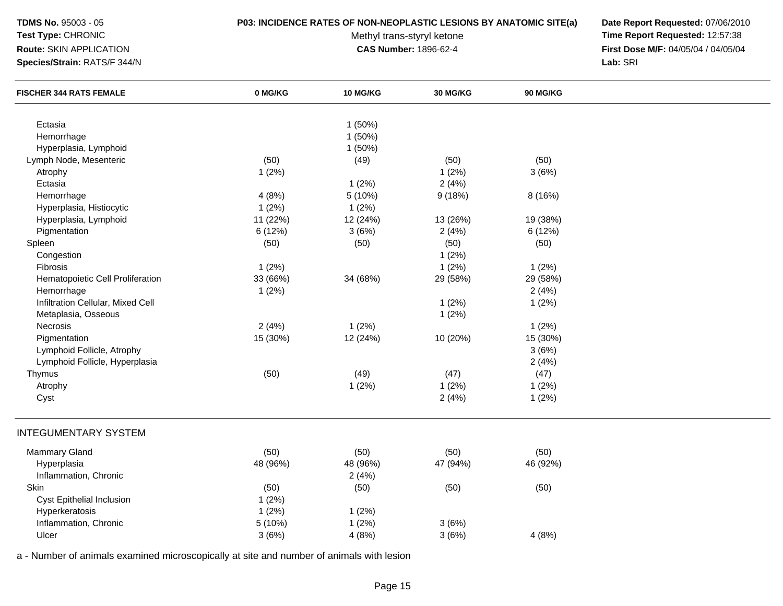## **Test Type:** CHRONIC

#### **P03: INCIDENCE RATES OF NON-NEOPLASTIC LESIONS BY ANATOMIC SITE(a) Date Report Requested:** 07/06/2010

**Route:** SKIN APPLICATION

**Species/Strain:** RATS/F 344/N

Methyl trans-styryl ketone<br>CAS Number: 1896-62-4

 **Time Report Requested:** 12:57:38 **First Dose M/F:** 04/05/04 / 04/05/04<br>Lab: SRI **Lab:** SRI

| <b>FISCHER 344 RATS FEMALE</b>    | 0 MG/KG  | 10 MG/KG | 30 MG/KG | 90 MG/KG |  |
|-----------------------------------|----------|----------|----------|----------|--|
| Ectasia                           |          | 1(50%)   |          |          |  |
| Hemorrhage                        |          | 1 (50%)  |          |          |  |
| Hyperplasia, Lymphoid             |          | 1 (50%)  |          |          |  |
| Lymph Node, Mesenteric            | (50)     | (49)     | (50)     | (50)     |  |
| Atrophy                           | 1(2%)    |          | 1(2%)    | 3(6%)    |  |
| Ectasia                           |          | 1(2%)    | 2(4%)    |          |  |
| Hemorrhage                        | 4(8%)    | 5 (10%)  | 9(18%)   | 8 (16%)  |  |
| Hyperplasia, Histiocytic          | 1(2%)    | 1(2%)    |          |          |  |
| Hyperplasia, Lymphoid             | 11 (22%) | 12 (24%) | 13 (26%) | 19 (38%) |  |
| Pigmentation                      | 6(12%)   | 3(6%)    | 2(4%)    | 6 (12%)  |  |
| Spleen                            | (50)     | (50)     | (50)     | (50)     |  |
| Congestion                        |          |          | 1(2%)    |          |  |
| Fibrosis                          | 1(2%)    |          | 1(2%)    | 1(2%)    |  |
| Hematopoietic Cell Proliferation  | 33 (66%) | 34 (68%) | 29 (58%) | 29 (58%) |  |
| Hemorrhage                        | 1(2%)    |          |          | 2(4%)    |  |
| Infiltration Cellular, Mixed Cell |          |          | 1(2%)    | 1(2%)    |  |
| Metaplasia, Osseous               |          |          | 1(2%)    |          |  |
| Necrosis                          | 2(4%)    | 1(2%)    |          | 1(2%)    |  |
| Pigmentation                      | 15 (30%) | 12 (24%) | 10 (20%) | 15 (30%) |  |
| Lymphoid Follicle, Atrophy        |          |          |          | 3(6%)    |  |
| Lymphoid Follicle, Hyperplasia    |          |          |          | 2(4%)    |  |
| Thymus                            | (50)     | (49)     | (47)     | (47)     |  |
| Atrophy                           |          | 1(2%)    | 1(2%)    | 1(2%)    |  |
| Cyst                              |          |          | 2(4%)    | 1(2%)    |  |
| <b>INTEGUMENTARY SYSTEM</b>       |          |          |          |          |  |
| <b>Mammary Gland</b>              | (50)     | (50)     | (50)     | (50)     |  |
| Hyperplasia                       | 48 (96%) | 48 (96%) | 47 (94%) | 46 (92%) |  |
| Inflammation, Chronic             |          | 2(4%)    |          |          |  |
| Skin                              | (50)     | (50)     | (50)     | (50)     |  |
| Cyst Epithelial Inclusion         | 1(2%)    |          |          |          |  |
| Hyperkeratosis                    | 1(2%)    | 1(2%)    |          |          |  |
| Inflammation, Chronic             | 5 (10%)  | 1(2%)    | 3(6%)    |          |  |
| Ulcer                             | 3(6%)    | 4(8%)    | 3(6%)    | 4(8%)    |  |
|                                   |          |          |          |          |  |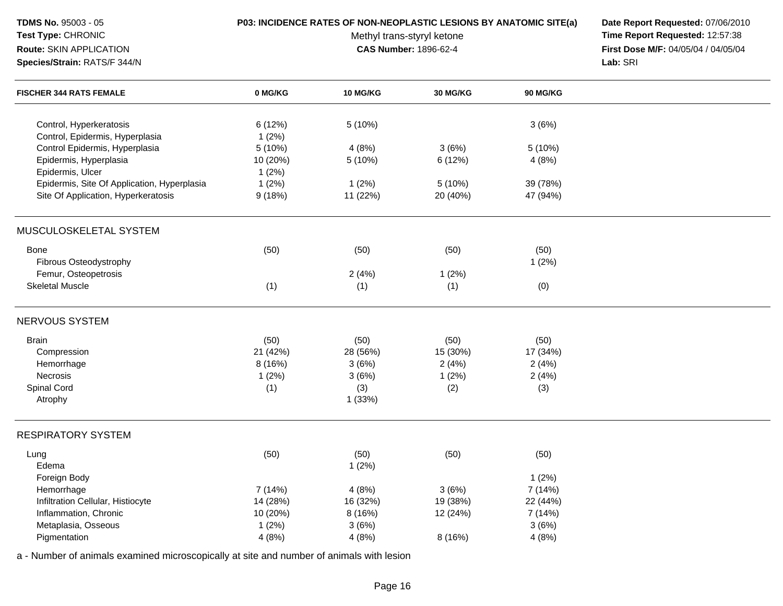| <b>TDMS No. 95003 - 05</b><br>Test Type: CHRONIC<br>Route: SKIN APPLICATION<br>Species/Strain: RATS/F 344/N |                 | <b>P03: INCIDENCE RATES OF NON-NEOPLASTIC LESIONS BY ANATOMIC SITE(a)</b><br>Methyl trans-styryl ketone<br><b>CAS Number: 1896-62-4</b> | Date Report Requested: 07/06/2010<br>Time Report Requested: 12:57:38<br>First Dose M/F: 04/05/04 / 04/05/04<br>Lab: SRI |          |  |
|-------------------------------------------------------------------------------------------------------------|-----------------|-----------------------------------------------------------------------------------------------------------------------------------------|-------------------------------------------------------------------------------------------------------------------------|----------|--|
| <b>FISCHER 344 RATS FEMALE</b>                                                                              | 0 MG/KG         | <b>10 MG/KG</b>                                                                                                                         | 30 MG/KG                                                                                                                | 90 MG/KG |  |
| Control, Hyperkeratosis<br>Control, Epidermis, Hyperplasia                                                  | 6(12%)<br>1(2%) | 5 (10%)                                                                                                                                 |                                                                                                                         | 3(6%)    |  |
| Control Epidermis, Hyperplasia                                                                              | 5 (10%)         | 4(8%)                                                                                                                                   | 3(6%)                                                                                                                   | 5 (10%)  |  |
| Epidermis, Hyperplasia                                                                                      | 10 (20%)        | 5 (10%)                                                                                                                                 | 6 (12%)                                                                                                                 | 4(8%)    |  |
| Epidermis, Ulcer                                                                                            | 1(2%)           |                                                                                                                                         |                                                                                                                         |          |  |
| Epidermis, Site Of Application, Hyperplasia                                                                 | 1(2%)           | 1(2%)                                                                                                                                   | 5 (10%)                                                                                                                 | 39 (78%) |  |
| Site Of Application, Hyperkeratosis                                                                         | 9(18%)          | 11 (22%)                                                                                                                                | 20 (40%)                                                                                                                | 47 (94%) |  |
| MUSCULOSKELETAL SYSTEM                                                                                      |                 |                                                                                                                                         |                                                                                                                         |          |  |
| <b>Bone</b>                                                                                                 | (50)            | (50)                                                                                                                                    | (50)                                                                                                                    | (50)     |  |
| Fibrous Osteodystrophy                                                                                      |                 |                                                                                                                                         |                                                                                                                         | 1(2%)    |  |
| Femur, Osteopetrosis                                                                                        |                 | 2(4%)                                                                                                                                   | 1(2%)                                                                                                                   |          |  |
| <b>Skeletal Muscle</b>                                                                                      | (1)             | (1)                                                                                                                                     | (1)                                                                                                                     | (0)      |  |
| NERVOUS SYSTEM                                                                                              |                 |                                                                                                                                         |                                                                                                                         |          |  |
| <b>Brain</b>                                                                                                | (50)            | (50)                                                                                                                                    | (50)                                                                                                                    | (50)     |  |
| Compression                                                                                                 | 21 (42%)        | 28 (56%)                                                                                                                                | 15 (30%)                                                                                                                | 17 (34%) |  |
| Hemorrhage                                                                                                  | 8(16%)          | 3(6%)                                                                                                                                   | 2(4%)                                                                                                                   | 2(4%)    |  |
| Necrosis                                                                                                    | 1(2%)           | 3(6%)                                                                                                                                   | 1(2%)                                                                                                                   | 2(4%)    |  |
| Spinal Cord                                                                                                 | (1)             | (3)                                                                                                                                     | (2)                                                                                                                     | (3)      |  |
| Atrophy                                                                                                     |                 | 1(33%)                                                                                                                                  |                                                                                                                         |          |  |
| <b>RESPIRATORY SYSTEM</b>                                                                                   |                 |                                                                                                                                         |                                                                                                                         |          |  |
| Lung                                                                                                        | (50)            | (50)                                                                                                                                    | (50)                                                                                                                    | (50)     |  |
| Edema                                                                                                       |                 | 1(2%)                                                                                                                                   |                                                                                                                         |          |  |
| Foreign Body                                                                                                |                 |                                                                                                                                         |                                                                                                                         | 1(2%)    |  |
| Hemorrhage                                                                                                  | 7 (14%)         | 4(8%)                                                                                                                                   | 3(6%)                                                                                                                   | 7 (14%)  |  |
| Infiltration Cellular, Histiocyte                                                                           | 14 (28%)        | 16 (32%)                                                                                                                                | 19 (38%)                                                                                                                | 22 (44%) |  |
| Inflammation, Chronic                                                                                       | 10 (20%)        | 8 (16%)                                                                                                                                 | 12 (24%)                                                                                                                | 7 (14%)  |  |
| Metaplasia, Osseous                                                                                         | 1(2%)           | 3(6%)                                                                                                                                   |                                                                                                                         | 3(6%)    |  |
| Pigmentation                                                                                                | 4(8%)           | 4(8%)                                                                                                                                   | 8(16%)                                                                                                                  | 4(8%)    |  |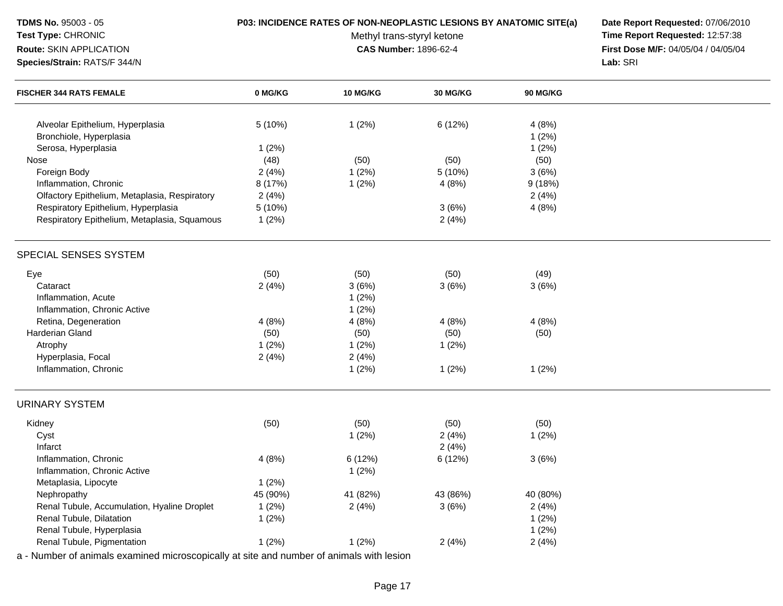**TDMS No.** 95003 - 05**Test Type:** CHRONIC

**Route:** SKIN APPLICATION

**Species/Strain:** RATS/F 344/N

# **P03: INCIDENCE RATES OF NON-NEOPLASTIC LESIONS BY ANATOMIC SITE(a) Date Report Requested:** 07/06/2010

Methyl trans-styryl ketone<br>CAS Number: 1896-62-4

 **Time Report Requested:** 12:57:38 **First Dose M/F:** 04/05/04 / 04/05/04<br>Lab: SRI **Lab:** SRI

| <b>FISCHER 344 RATS FEMALE</b>                | 0 MG/KG  | 10 MG/KG | <b>30 MG/KG</b> | 90 MG/KG |  |
|-----------------------------------------------|----------|----------|-----------------|----------|--|
| Alveolar Epithelium, Hyperplasia              | 5(10%)   | 1(2%)    | 6 (12%)         | 4(8%)    |  |
| Bronchiole, Hyperplasia                       |          |          |                 | 1(2%)    |  |
| Serosa, Hyperplasia                           | 1(2%)    |          |                 | 1(2%)    |  |
| Nose                                          | (48)     | (50)     | (50)            | (50)     |  |
| Foreign Body                                  | 2(4%)    | 1(2%)    | 5 (10%)         | 3(6%)    |  |
| Inflammation, Chronic                         | 8 (17%)  | 1(2%)    | 4(8%)           | 9(18%)   |  |
| Olfactory Epithelium, Metaplasia, Respiratory | 2(4%)    |          |                 | 2(4%)    |  |
| Respiratory Epithelium, Hyperplasia           | 5 (10%)  |          | 3(6%)           | 4(8%)    |  |
| Respiratory Epithelium, Metaplasia, Squamous  | 1(2%)    |          | 2(4%)           |          |  |
| SPECIAL SENSES SYSTEM                         |          |          |                 |          |  |
| Eye                                           | (50)     | (50)     | (50)            | (49)     |  |
| Cataract                                      | 2(4%)    | 3(6%)    | 3(6%)           | 3(6%)    |  |
| Inflammation, Acute                           |          | 1(2%)    |                 |          |  |
| Inflammation, Chronic Active                  |          | 1(2%)    |                 |          |  |
| Retina, Degeneration                          | 4(8%)    | 4(8%)    | 4(8%)           | 4(8%)    |  |
| Harderian Gland                               | (50)     | (50)     | (50)            | (50)     |  |
| Atrophy                                       | 1(2%)    | 1(2%)    | 1(2%)           |          |  |
| Hyperplasia, Focal                            | 2(4%)    | 2(4%)    |                 |          |  |
| Inflammation, Chronic                         |          | 1(2%)    | 1(2%)           | 1(2%)    |  |
| <b>URINARY SYSTEM</b>                         |          |          |                 |          |  |
| Kidney                                        | (50)     | (50)     | (50)            | (50)     |  |
| Cyst                                          |          | 1(2%)    | 2(4%)           | 1(2%)    |  |
| Infarct                                       |          |          | 2(4%)           |          |  |
| Inflammation, Chronic                         | 4(8%)    | 6 (12%)  | 6(12%)          | 3(6%)    |  |
| Inflammation, Chronic Active                  |          | 1(2%)    |                 |          |  |
| Metaplasia, Lipocyte                          | 1(2%)    |          |                 |          |  |
| Nephropathy                                   | 45 (90%) | 41 (82%) | 43 (86%)        | 40 (80%) |  |
| Renal Tubule, Accumulation, Hyaline Droplet   | 1(2%)    | 2(4%)    | 3(6%)           | 2(4%)    |  |
| Renal Tubule, Dilatation                      | 1(2%)    |          |                 | 1(2%)    |  |
| Renal Tubule, Hyperplasia                     |          |          |                 | 1(2%)    |  |
| Renal Tubule, Pigmentation                    | 1(2%)    | 1(2%)    | 2(4%)           | 2(4%)    |  |